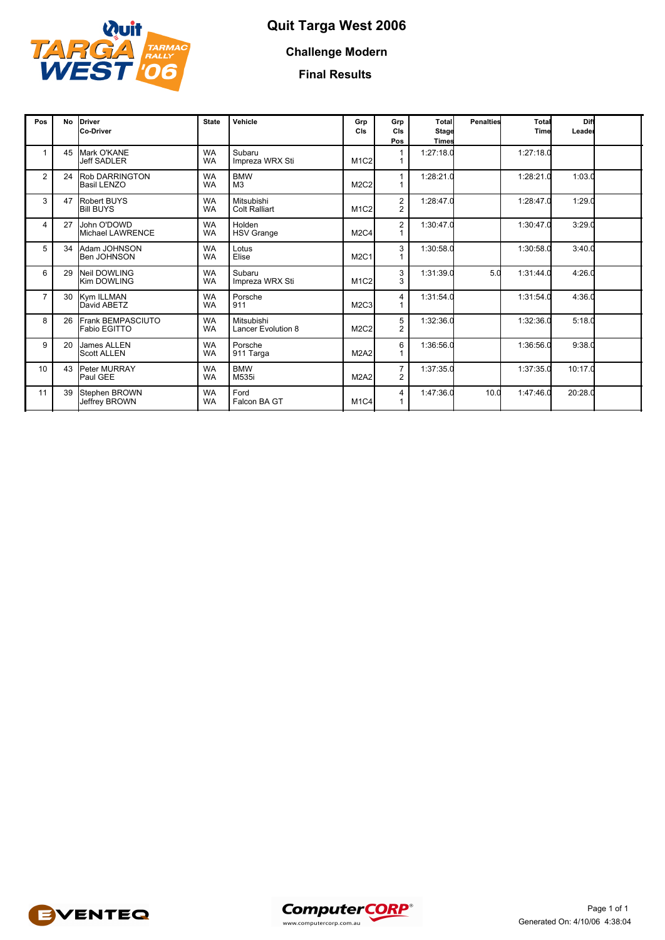

## **Quit Targa West 2006**

### **Challenge Modern**

#### **Final Results**

| Pos            | <b>No</b> | Driver<br>Co-Driver                         | <b>State</b>           | Vehicle                            | Grp<br>CIs                    | Grp<br>CIs<br>Pos                         | Total<br><b>Stage</b><br><b>Times</b> | <b>Penalties</b> | Total<br>Time | Diff<br>Leader |  |
|----------------|-----------|---------------------------------------------|------------------------|------------------------------------|-------------------------------|-------------------------------------------|---------------------------------------|------------------|---------------|----------------|--|
|                | 45        | Mark O'KANE<br><b>Jeff SADLER</b>           | <b>WA</b><br><b>WA</b> | Subaru<br>Impreza WRX Sti          | M <sub>1</sub> C <sub>2</sub> |                                           | 1:27:18.0                             |                  | 1:27:18.0     |                |  |
| $\overline{2}$ | 24        | <b>Rob DARRINGTON</b><br><b>Basil LENZO</b> | <b>WA</b><br><b>WA</b> | <b>BMW</b><br>M <sub>3</sub>       | M <sub>2</sub> C <sub>2</sub> |                                           | 1:28:21.0                             |                  | 1:28:21.0     | 1:03.0         |  |
| 3              | 47        | <b>Robert BUYS</b><br><b>Bill BUYS</b>      | <b>WA</b><br><b>WA</b> | Mitsubishi<br><b>Colt Ralliart</b> | M <sub>1</sub> C <sub>2</sub> | $\overline{\mathbf{c}}$<br>$\overline{2}$ | 1:28:47.0                             |                  | 1:28:47.0     | 1:29.0         |  |
| $\overline{4}$ | 27        | John O'DOWD<br>Michael LAWRENCE             | <b>WA</b><br><b>WA</b> | Holden<br><b>HSV Grange</b>        | M <sub>2</sub> C <sub>4</sub> | $\overline{2}$                            | 1:30:47.0                             |                  | 1:30:47.0     | 3:29.0         |  |
| 5              | 34        | Adam JOHNSON<br>Ben JOHNSON                 | <b>WA</b><br><b>WA</b> | Lotus<br>Elise                     | <b>M2C1</b>                   | 3                                         | 1:30:58.0                             |                  | 1:30:58.0     | 3:40.0         |  |
| 6              | 29        | Neil DOWLING<br><b>Kim DOWLING</b>          | <b>WA</b><br><b>WA</b> | Subaru<br>Impreza WRX Sti          | M <sub>1</sub> C <sub>2</sub> | 3<br>3                                    | 1:31:39.0                             | 5.0              | 1:31:44.0     | 4:26.0         |  |
| $\overline{7}$ | 30        | Kym ILLMAN<br>David ABETZ                   | <b>WA</b><br><b>WA</b> | Porsche<br>911                     | M <sub>2</sub> C <sub>3</sub> | 4                                         | 1:31:54.0                             |                  | 1:31:54.0     | 4:36.0         |  |
| 8              | 26        | Frank BEMPASCIUTO<br>Fabio EGITTO           | <b>WA</b><br><b>WA</b> | Mitsubishi<br>Lancer Evolution 8   | M <sub>2</sub> C <sub>2</sub> | 5<br>2                                    | 1:32:36.0                             |                  | 1:32:36.0     | 5:18.0         |  |
| 9              | 20        | James ALLEN<br><b>Scott ALLEN</b>           | <b>WA</b><br><b>WA</b> | Porsche<br>911 Targa               | <b>M2A2</b>                   | 6                                         | 1:36:56.0                             |                  | 1:36:56.0     | 9:38.0         |  |
| 10             | 43        | Peter MURRAY<br>Paul GEE                    | <b>WA</b><br><b>WA</b> | <b>BMW</b><br>M535i                | <b>M2A2</b>                   | $\overline{7}$<br>2                       | 1:37:35.0                             |                  | 1:37:35.0     | 10:17.0        |  |
| 11             | 39        | Stephen BROWN<br>Jeffrey BROWN              | <b>WA</b><br><b>WA</b> | Ford<br>Falcon BA GT               | M1C4                          | 4                                         | 1:47:36.0                             | 10.0             | 1:47:46.0     | 20:28.0        |  |